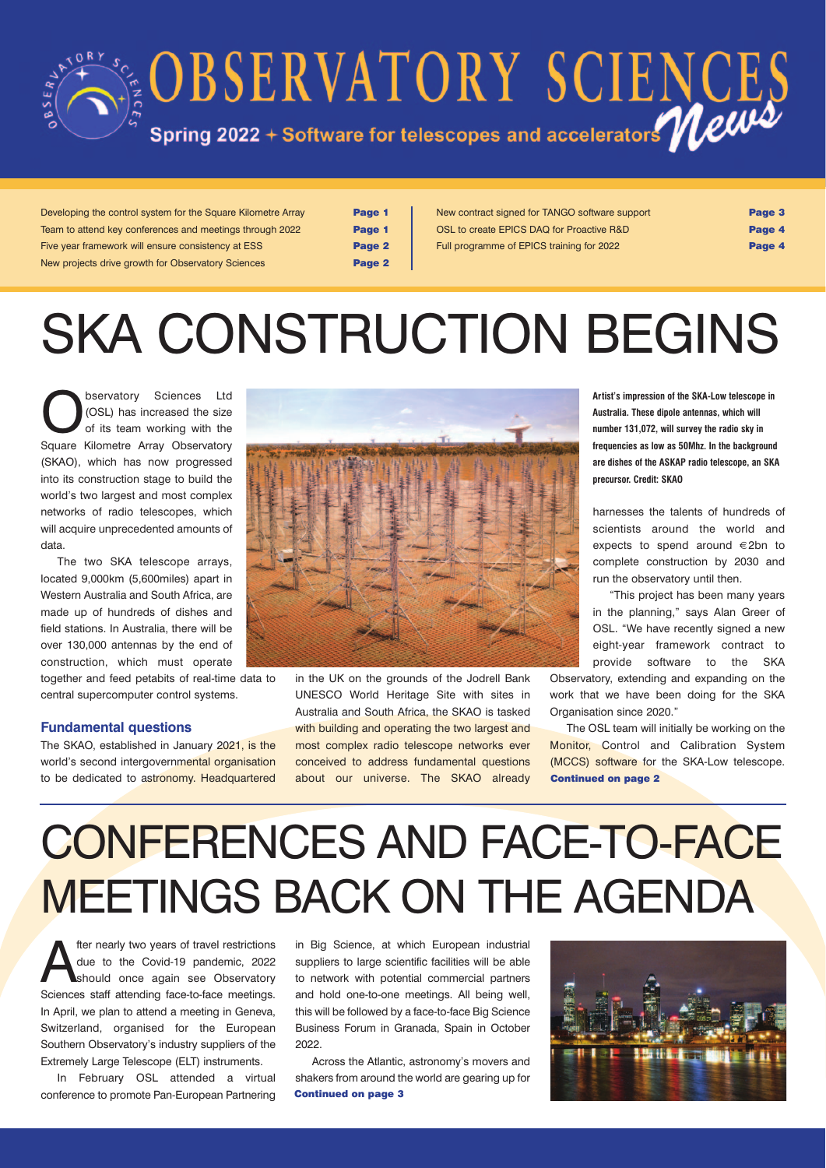

Developing the control system for the Square Kilometre Array Page 1 Team to attend key conferences and meetings through 2022 **Page 1** Five year framework will ensure consistency at ESS **Page 2** New projects drive growth for Observatory Sciences **Page 2** 

New contract signed for TANGO software support **Page 3** OSL to create EPICS DAQ for Proactive R&D **Page 4** Full programme of EPICS training for 2022

# SKA CONSTRUCTION BEGINS

**Observatory Sciences Ltd**<br>
(OSL) has increased the size<br>
of its team working with the<br>
Square Kilometre Array Observatory (OSL) has increased the size Square Kilometre Array Observatory (SKAO), which has now progressed into its construction stage to build the world's two largest and most complex networks of radio telescopes, which will acquire unprecedented amounts of data.

The two SKA telescope arrays, located 9,000km (5,600miles) apart in Western Australia and South Africa, are made up of hundreds of dishes and field stations. In Australia, there will be over 130,000 antennas by the end of construction, which must operate together and feed petabits of real-time data to central supercomputer control systems.

### **Fundamental questions**

The SKAO, established in January 2021, is the world's second intergovernmental organisation to be dedicated to astronomy. Headquartered



in the UK on the grounds of the Jodrell Bank UNESCO World Heritage Site with sites in Australia and South Africa, the SKAO is tasked with building and operating the two largest and most complex radio telescope networks ever conceived to address fundamental questions about our universe. The SKAO already

**Artist's impression of the SKA-Low telescope in Australia. These dipole antennas, which will number 131,072, will survey the radio sky in frequencies as low as 50Mhz. In the background are dishes of the ASKAP radio telescope, an SKA precursor. Credit: SKAO**

harnesses the talents of hundreds of scientists around the world and expects to spend around €2bn to complete construction by 2030 and run the observatory until then.

"This project has been many years in the planning," says Alan Greer of OSL. "We have recently signed a new eight-year framework contract to provide software to the SKA

Observatory, extending and expanding on the work that we have been doing for the SKA Organisation since 2020."

The OSL team will initially be working on the Monitor, Control and Calibration System (MCCS) software for the SKA-Low telescope. Continued on page 2

# CONFERENCES AND FACE-TO-FACE MEETINGS BACK ON THE AGENDA

The mearly two years of travel restrictions<br>due to the Covid-19 pandemic, 2022<br>should once again see Observatory<br>Sciences staff attending free to face meatings due to the Covid-19 pandemic, 2022 should once again see Observatory Sciences staff attending face-to-face meetings. In April, we plan to attend a meeting in Geneva, Switzerland, organised for the European Southern Observatory's industry suppliers of the Extremely Large Telescope (ELT) instruments.

In February OSL attended a virtual conference to promote Pan-European Partnering

in Big Science, at which European industrial suppliers to large scientific facilities will be able to network with potential commercial partners and hold one-to-one meetings. All being well, this will be followed by a face-to-face Big Science Business Forum in Granada, Spain in October 2022.

Across the Atlantic, astronomy's movers and shakers from around the world are gearing up for Continued on page 3

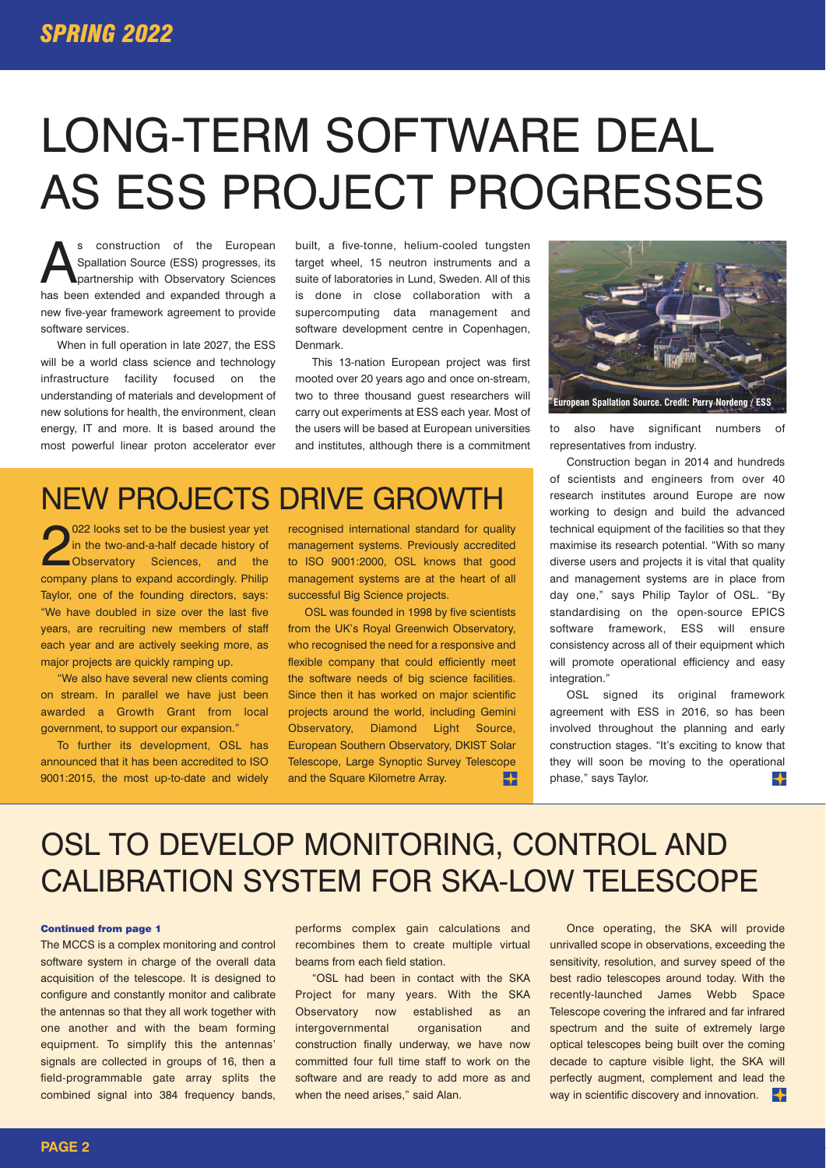# LONG-TERM SOFTWARE DEAL AS ESS PROJECT PROGRESSES

S construction of the European<br>Spallation Source (ESS) progresses, its<br>partnership with Observatory Sciences<br>has been extended and expanded through a Spallation Source (ESS) progresses, its partnership with Observatory Sciences has been extended and expanded through a new five-year framework agreement to provide software services.

When in full operation in late 2027, the ESS will be a world class science and technology infrastructure facility focused on the understanding of materials and development of new solutions for health, the environment, clean energy, IT and more. It is based around the most powerful linear proton accelerator ever

built, a five-tonne, helium-cooled tungsten target wheel, 15 neutron instruments and a suite of laboratories in Lund, Sweden. All of this is done in close collaboration with a supercomputing data management and software development centre in Copenhagen, Denmark.

This 13-nation European project was first mooted over 20 years ago and once on-stream, two to three thousand guest researchers will carry out experiments at ESS each year. Most of the users will be based at European universities and institutes, although there is a commitment

### NEW PROJECTS DRIVE GROWTH

2022 looks set to be the busiest year yet<br>in the two-and-a-half decade history of<br>Observatory Sciences, and the<br>company plans to expand accordingly Philip 022 looks set to be the busiest year yet in the two-and-a-half decade history of company plans to expand accordingly. Philip Taylor, one of the founding directors, says: "We have doubled in size over the last five years, are recruiting new members of staff each year and are actively seeking more, as major projects are quickly ramping up.

"We also have several new clients coming on stream. In parallel we have just been awarded a Growth Grant from local government, to support our expansion."

To further its development, OSL has announced that it has been accredited to ISO 9001:2015, the most up-to-date and widely

recognised international standard for quality management systems. Previously accredited to ISO 9001:2000, OSL knows that good management systems are at the heart of all successful Big Science projects.

OSL was founded in 1998 by five scientists from the UK's Royal Greenwich Observatory, who recognised the need for a responsive and flexible company that could efficiently meet the software needs of big science facilities. Since then it has worked on major scientific projects around the world, including Gemini Observatory, Diamond Light Source, European Southern Observatory, DKIST Solar Telescope, Large Synoptic Survey Telescope and the Square Kilometre Array. ┡



to also have significant numbers of representatives from industry.

Construction began in 2014 and hundreds of scientists and engineers from over 40 research institutes around Europe are now working to design and build the advanced technical equipment of the facilities so that they maximise its research potential. "With so many diverse users and projects it is vital that quality and management systems are in place from day one," says Philip Taylor of OSL. "By standardising on the open-source EPICS software framework, ESS will ensure consistency across all of their equipment which will promote operational efficiency and easy integration."

OSL signed its original framework agreement with ESS in 2016, so has been involved throughout the planning and early construction stages. "It's exciting to know that they will soon be moving to the operational phase," says Taylor.  $\ddotmark$ 

## OSL TO DEVELOP MONITORING, CONTROL AND CALIBRATION SYSTEM FOR SKA-LOW TELESCOPE

#### Continued from page 1

The MCCS is a complex monitoring and control software system in charge of the overall data acquisition of the telescope. It is designed to configure and constantly monitor and calibrate the antennas so that they all work together with one another and with the beam forming equipment. To simplify this the antennas' signals are collected in groups of 16, then a field-programmable gate array splits the combined signal into 384 frequency bands, performs complex gain calculations and recombines them to create multiple virtual beams from each field station.

"OSL had been in contact with the SKA Project for many years. With the SKA Observatory now established as an intergovernmental organisation and construction finally underway, we have now committed four full time staff to work on the software and are ready to add more as and when the need arises," said Alan.

Once operating, the SKA will provide unrivalled scope in observations, exceeding the sensitivity, resolution, and survey speed of the best radio telescopes around today. With the recently-launched James Webb Space Telescope covering the infrared and far infrared spectrum and the suite of extremely large optical telescopes being built over the coming decade to capture visible light, the SKA will perfectly augment, complement and lead the way in scientific discovery and innovation.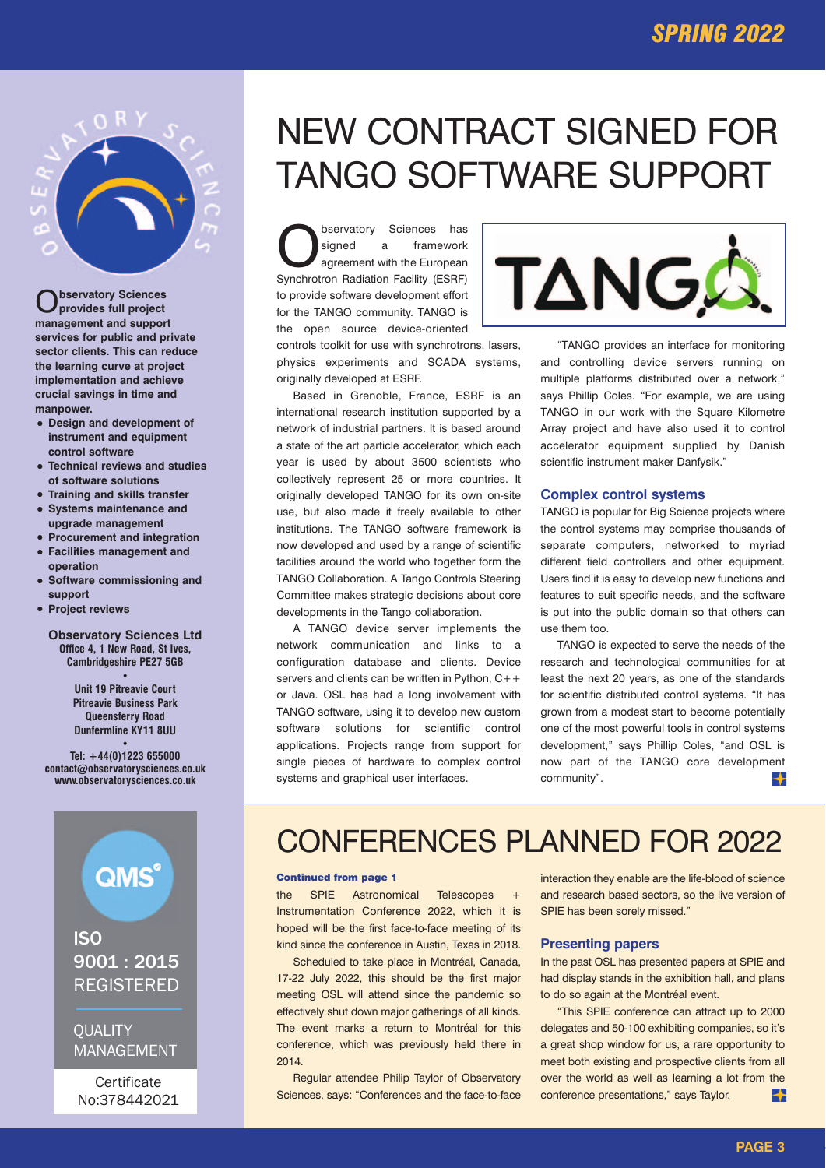

O**bservatory Sciences provides full project management and support services for public and private sector clients. This can reduce the learning curve at project implementation and achieve crucial savings in time and manpower.**

- **• Design and development of instrument and equipment control software**
- **• Technical reviews and studies of software solutions**
- **• Training and skills transfer • Systems maintenance and**
- **upgrade management • Procurement and integration**
- **• Facilities management and operation**
- **• Software commissioning and support**
- **• Project reviews**

**Observatory Sciences Ltd Office 4, 1 New Road, St Ives, Cambridgeshire PE27 5GB**

**•**

**Unit 19 Pitreavie Court Pitreavie Business Park Queensferry Road Dunfermline KY11 8UU**

**• Tel: +44(0)1223 655000 contact@observatorysciences.co.uk www.observatorysciences.co.uk**



ISO 9001 : 2015 REGISTERED

### **OUALITY** MANAGEMENT

**Certificate** No:378442021

## NEW CONTRACT SIGNED FOR TANGO SOFTWARE SUPPORT

**Observatory Sciences has<br>
agreement with the European**<br>
Synchrotron Badiation Eacility (ESBE) signed a framework Synchrotron Radiation Facility (ESRF) to provide software development effort for the TANGO community. TANGO is the open source device-oriented

controls toolkit for use with synchrotrons, lasers, physics experiments and SCADA systems, originally developed at ESRF.

Based in Grenoble, France, ESRF is an international research institution supported by a network of industrial partners. It is based around a state of the art particle accelerator, which each year is used by about 3500 scientists who collectively represent 25 or more countries. It originally developed TANGO for its own on-site use, but also made it freely available to other institutions. The TANGO software framework is now developed and used by a range of scientific facilities around the world who together form the TANGO Collaboration. A Tango Controls Steering Committee makes strategic decisions about core developments in the Tango collaboration.

A TANGO device server implements the network communication and links to a configuration database and clients. Device servers and clients can be written in Python,  $C++$ or Java. OSL has had a long involvement with TANGO software, using it to develop new custom software solutions for scientific control applications. Projects range from support for single pieces of hardware to complex control systems and graphical user interfaces.



"TANGO provides an interface for monitoring and controlling device servers running on multiple platforms distributed over a network," says Phillip Coles. "For example, we are using TANGO in our work with the Square Kilometre Array project and have also used it to control accelerator equipment supplied by Danish scientific instrument maker Danfysik."

### **Complex control systems**

TANGO is popular for Big Science projects where the control systems may comprise thousands of separate computers, networked to myriad different field controllers and other equipment. Users find it is easy to develop new functions and features to suit specific needs, and the software is put into the public domain so that others can use them too.

TANGO is expected to serve the needs of the research and technological communities for at least the next 20 years, as one of the standards for scientific distributed control systems. "It has grown from a modest start to become potentially one of the most powerful tools in control systems development," says Phillip Coles, "and OSL is now part of the TANGO core development community".  $\ddotmark$ 

### CONFERENCES PLANNED FOR 2022

### Continued from page 1

the SPIE Astronomical Telescopes Instrumentation Conference 2022, which it is hoped will be the first face-to-face meeting of its kind since the conference in Austin, Texas in 2018.

Scheduled to take place in Montréal, Canada, 17-22 July 2022, this should be the first major meeting OSL will attend since the pandemic so effectively shut down major gatherings of all kinds. The event marks a return to Montréal for this conference, which was previously held there in 2014.

Regular attendee Philip Taylor of Observatory Sciences, says: "Conferences and the face-to-face interaction they enable are the life-blood of science and research based sectors, so the live version of SPIE has been sorely missed."

#### **Presenting papers**

In the past OSL has presented papers at SPIE and had display stands in the exhibition hall, and plans to do so again at the Montréal event.

"This SPIE conference can attract up to 2000 delegates and 50-100 exhibiting companies, so it's a great shop window for us, a rare opportunity to meet both existing and prospective clients from all over the world as well as learning a lot from the conference presentations," says Taylor. ╈